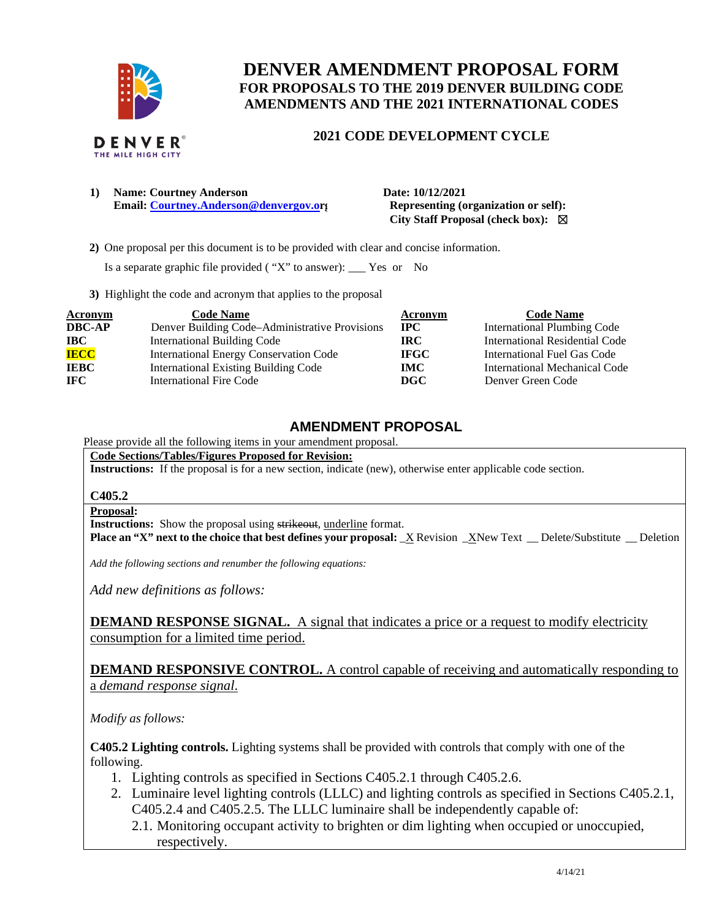

# **DENVER AMENDMENT PROPOSAL FORM FOR PROPOSALS TO THE 2019 DENVER BUILDING CODE AMENDMENTS AND THE 2021 INTERNATIONAL CODES**

### **2021 CODE DEVELOPMENT CYCLE**

**1) Name: Courtney Anderson Date: 10/12/2021 Email:** [Courtney.Anderson@denvergov.or](mailto:Courtney.Anderson@denvergov.o)**g** Representing (organization or self):

 **City Staff Proposal (check box):** ☒

 **2)** One proposal per this document is to be provided with clear and concise information.

Is a separate graphic file provided ( "X" to answer): \_\_\_ Yes or No

**3)** Highlight the code and acronym that applies to the proposal

| <b>Acronym</b> | <b>Code Name</b>                               | Acronym     | <b>Code Name</b>                   |
|----------------|------------------------------------------------|-------------|------------------------------------|
| <b>DBC-AP</b>  | Denver Building Code–Administrative Provisions | $\bf{IPC}$  | <b>International Plumbing Code</b> |
| <b>IBC</b>     | <b>International Building Code</b>             | IRC.        | International Residential Code     |
| <b>IECC</b>    | <b>International Energy Conservation Code</b>  | <b>IFGC</b> | International Fuel Gas Code        |
| <b>IEBC</b>    | <b>International Existing Building Code</b>    | <b>IMC</b>  | International Mechanical Code      |
| <b>IFC</b>     | International Fire Code                        | DGC.        | Denver Green Code                  |

### **AMENDMENT PROPOSAL**

## Please provide all the following items in your amendment proposal.

**Code Sections/Tables/Figures Proposed for Revision:** 

**Instructions:** If the proposal is for a new section, indicate (new), otherwise enter applicable code section.

#### **C405.2**

#### **Proposal:**

**Instructions:** Show the proposal using strikeout, underline format.

**Place an "X" next to the choice that best defines your proposal:** X Revision XNew Text Delete/Substitute Deletion

*Add the following sections and renumber the following equations:* 

*Add new definitions as follows:* 

**DEMAND RESPONSE SIGNAL.** A signal that indicates a price or a request to modify electricity consumption for a limited time period.

**DEMAND RESPONSIVE CONTROL.** A control capable of receiving and automatically responding to a *demand response signal*.

*Modify as follows:* 

**C405.2 Lighting controls.** Lighting systems shall be provided with controls that comply with one of the following.

- 1. Lighting controls as specified in Sections C405.2.1 through C405.2.6.
- 2. Luminaire level lighting controls (LLLC) and lighting controls as specified in Sections C405.2.1, C405.2.4 and C405.2.5. The LLLC luminaire shall be independently capable of:
	- 2.1. Monitoring occupant activity to brighten or dim lighting when occupied or unoccupied, respectively.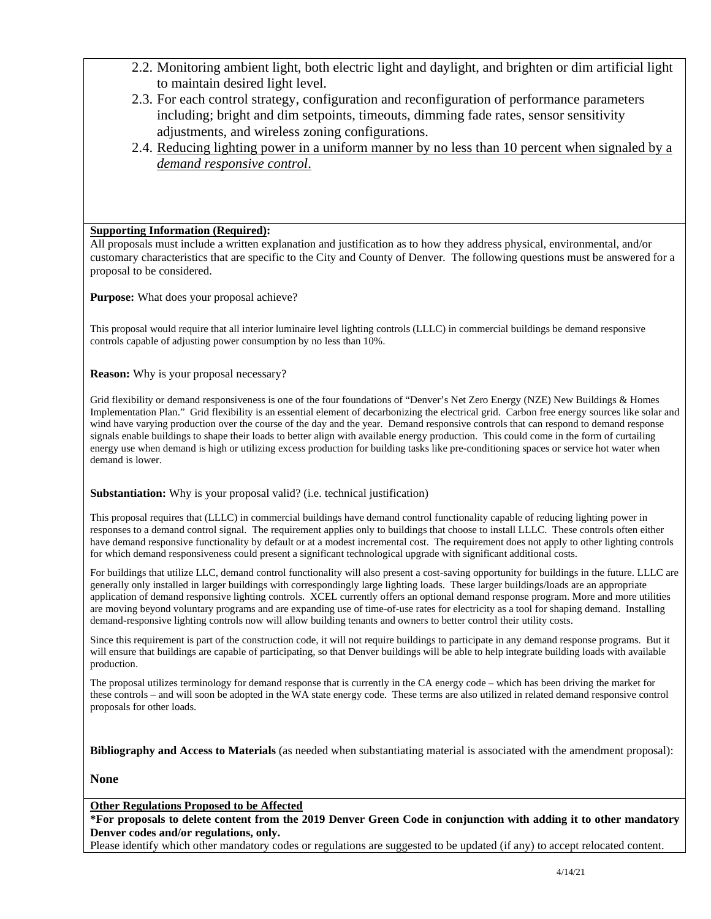- 2.2. Monitoring ambient light, both electric light and daylight, and brighten or dim artificial light to maintain desired light level.
- 2.3. For each control strategy, configuration and reconfiguration of performance parameters including; bright and dim setpoints, timeouts, dimming fade rates, sensor sensitivity adjustments, and wireless zoning configurations.
- 2.4. Reducing lighting power in a uniform manner by no less than 10 percent when signaled by a *demand responsive control*.

### **Supporting Information (Required):**

All proposals must include a written explanation and justification as to how they address physical, environmental, and/or customary characteristics that are specific to the City and County of Denver. The following questions must be answered for a proposal to be considered.

**Purpose:** What does your proposal achieve?

This proposal would require that all interior luminaire level lighting controls (LLLC) in commercial buildings be demand responsive controls capable of adjusting power consumption by no less than 10%.

**Reason:** Why is your proposal necessary?

Grid flexibility or demand responsiveness is one of the four foundations of "Denver's Net Zero Energy (NZE) New Buildings & Homes Implementation Plan." Grid flexibility is an essential element of decarbonizing the electrical grid. Carbon free energy sources like solar and wind have varying production over the course of the day and the year. Demand responsive controls that can respond to demand response signals enable buildings to shape their loads to better align with available energy production. This could come in the form of curtailing energy use when demand is high or utilizing excess production for building tasks like pre-conditioning spaces or service hot water when demand is lower.

#### **Substantiation:** Why is your proposal valid? (i.e. technical justification)

This proposal requires that (LLLC) in commercial buildings have demand control functionality capable of reducing lighting power in responses to a demand control signal. The requirement applies only to buildings that choose to install LLLC. These controls often either have demand responsive functionality by default or at a modest incremental cost. The requirement does not apply to other lighting controls for which demand responsiveness could present a significant technological upgrade with significant additional costs.

For buildings that utilize LLC, demand control functionality will also present a cost-saving opportunity for buildings in the future. LLLC are generally only installed in larger buildings with correspondingly large lighting loads. These larger buildings/loads are an appropriate application of demand responsive lighting controls. XCEL currently offers an optional demand response program. More and more utilities are moving beyond voluntary programs and are expanding use of time-of-use rates for electricity as a tool for shaping demand. Installing demand-responsive lighting controls now will allow building tenants and owners to better control their utility costs.

Since this requirement is part of the construction code, it will not require buildings to participate in any demand response programs. But it will ensure that buildings are capable of participating, so that Denver buildings will be able to help integrate building loads with available production.

The proposal utilizes terminology for demand response that is currently in the CA energy code – which has been driving the market for these controls – and will soon be adopted in the WA state energy code. These terms are also utilized in related demand responsive control proposals for other loads.

**Bibliography and Access to Materials** (as needed when substantiating material is associated with the amendment proposal):

**None** 

#### **Other Regulations Proposed to be Affected**

**\*For proposals to delete content from the 2019 Denver Green Code in conjunction with adding it to other mandatory Denver codes and/or regulations, only.**

Please identify which other mandatory codes or regulations are suggested to be updated (if any) to accept relocated content.